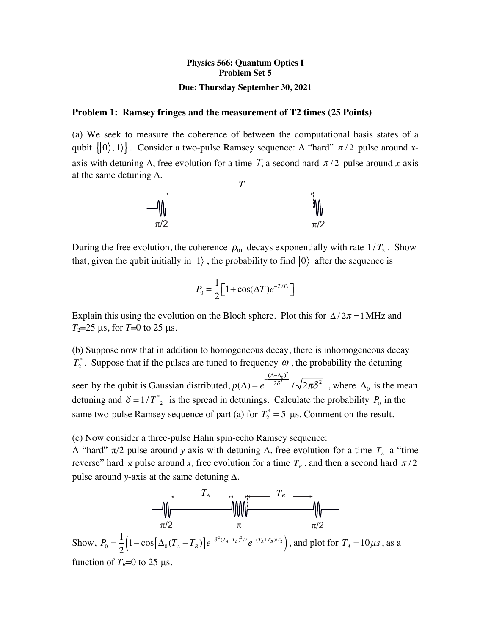## **Physics 566: Quantum Optics I Problem Set 5 Due: Thursday September 30, 2021**

## **Problem 1: Ramsey fringes and the measurement of T2 times (25 Points)**

(a) We seek to measure the coherence of between the computational basis states of a qubit  $\{|0\rangle, |1\rangle\}$ . Consider a two-pulse Ramsey sequence: A "hard"  $\pi/2$  pulse around *x*axis with detuning  $\Delta$ , free evolution for a time T, a second hard  $\pi/2$  pulse around x-axis at the same detuning  $\Delta$ .



During the free evolution, the coherence  $\rho_{01}$  decays exponentially with rate  $1/T_2$ . Show that, given the qubit initially in  $|1\rangle$ , the probability to find  $|0\rangle$  after the sequence is  $\overline{t}$ 

$$
P_0 = \frac{1}{2} \Big[ 1 + \cos(\Delta T) e^{-T/T_2} \Big]
$$

Explain this using the evolution on the Bloch sphere. Plot this for  $\Delta/2\pi = 1$  MHz and  $T_2 = 25 \,\mu s$ , for  $T = 0$  to 25  $\mu s$ .

(b) Suppose now that in addition to homogeneous decay, there is inhomogeneous decay  $T_2^*$ . Suppose that if the pulses are tuned to frequency  $\omega$ , the probability the detuning seen by the qubit is Gaussian distributed,  $p(\Delta) = e^{-\frac{2\delta^2}{2\delta^2}} / \sqrt{2\pi\delta^2}$ , where  $\Delta_0$  is the mean detuning and  $\delta = 1/T^*$ , is the spread in detunings. Calculate the probability  $P_0$  in the same two-pulse Ramsey sequence of part (a) for  $T_2^* = 5$  µs. Comment on the result.  $\mathfrak{g}$  = 0.79  $\mathfrak{g}$  = 0.79  $\mathfrak{g}$  = 0.79  $\mathfrak{g}$  = 0.79  $\mathfrak{g}$  = 0.79  $\mathfrak{g}$  = 0.79  $\mathfrak{g}$  = 0.79  $\mathfrak{g}$  = 0.79  $\mathfrak{g}$  = 0.79  $\mathfrak{g}$  = 0.79  $\mathfrak{g}$  = 0.79  $\mathfrak{g}$  = 0.79  $\mathfrak{g}$  = 0.79  $\mathbf{d}$  $-\frac{(\Delta-\Delta_0)^2}{2}$ <sup>28<sup>2</sup> /  $\sqrt{2\pi\delta^2}$  , where  $\Delta_0$ </sup>  $\frac{(A-\Delta_0)^2}{2s^2}$ ,  $\sqrt{2-2^2}$ 

(c) Now consider a three-pulse Hahn spin-echo Ramsey sequence:

A "hard"  $\pi/2$  pulse around *y*-axis with detuning  $\Delta$ , free evolution for a time  $T_A$  a "time reverse" hard  $\pi$  pulse around *x*, free evolution for a time  $T_B$ , and then a second hard  $\pi/2$ pulse around *y*-axis at the same detuning  $\Delta$ .  $\frac{1}{\sqrt{2}}$  $35 - 90$ 



Show,  $P_0 = \frac{1}{2} \left(1 - \cos \left[\Delta_0 (T_A - T_B)\right] e^{-\delta^2 (T_A - T_B)^2/2} e^{-(T_A + T_B)/T_2}\right)$ , and plot for  $T_A = 10 \mu s$ , as a function of  $T_B=0$  to 25  $\mu$ s.  $\begin{array}{cccc} 0 & 2 \end{array}$ **t**.  $\begin{array}{cccc} 0 & 2 \end{array}$ **b**  $\begin{array}{cccc} 2 & 2 \end{array}$ **s** on the spin  $\begin{array}{cccc} 2 & 2 \end{array}$  $P_0 = \frac{1}{2} \Big( 1 - \cos \Big[ \Delta_0 (T_A - T_B) \Big] e^{-\delta^2 (T_A - T_B)^2/2} e^{-(T_A + T_B)/T_2} \Big)$ , and plot for  $T_A = 10 \mu s$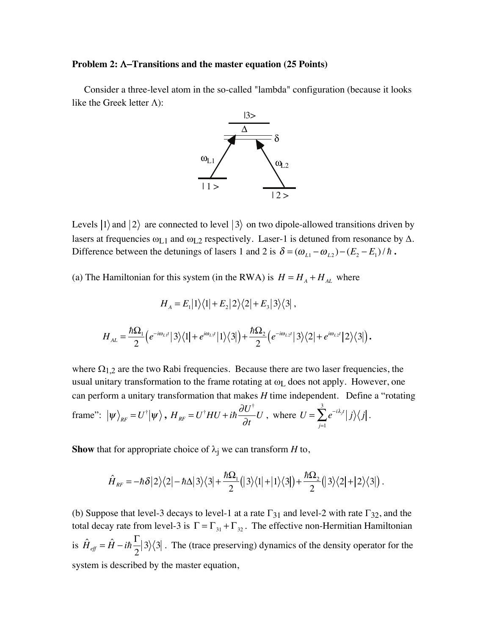## **Problem 2:**  $\Lambda$ **-Transitions and the master equation (25 Points)**

 Consider a three-level atom in the so-called "lambda" configuration (because it looks like the Greek letter  $\Lambda$ ):



Levels  $|1\rangle$  and  $|2\rangle$  are connected to level  $|3\rangle$  on two dipole-allowed transitions driven by lasers at frequencies  $\omega_{L1}$  and  $\omega_{L2}$  respectively. Laser-1 is detuned from resonance by  $\Delta$ . Difference between the detunings of lasers 1 and 2 is  $\delta = (\omega_{L1} - \omega_{L2}) - (E_2 - E_1)/\hbar$ .

(a) The Hamiltonian for this system (in the RWA) is  $H = H_A + H_{AL}$  where

$$
H_A = E_1|1\rangle\langle 1| + E_2|2\rangle\langle 2| + E_3|3\rangle\langle 3|,
$$

$$
H_{AL} = \frac{\hbar\Omega_1}{2} \Big( e^{-i\omega_{L1}t} \Big| 3 \rangle \langle 1 \Big| + e^{i\omega_{L1}t} \Big| 1 \rangle \langle 3 \Big| \Big) + \frac{\hbar\Omega_2}{2} \Big( e^{-i\omega_{L2}t} \Big| 3 \rangle \langle 2 \Big| + e^{i\omega_{L2}t} \Big| 2 \rangle \langle 3 \Big| \Big).
$$

where  $\Omega_{1,2}$  are the two Rabi frequencies. Because there are two laser frequencies, the usual unitary transformation to the frame rotating at  $\omega_L$  does not apply. However, one can perform a unitary transformation that makes *H* time independent. Define a "rotating frame":  $|\psi\rangle_{RF} = U^{\dagger}|\psi\rangle$ ,  $H_{RF} = U^{\dagger}HU + i\hbar \frac{\partial U^{\dagger}}{\partial t}U$ , where  $U = \sum_{i=1}^{3} e^{-i\lambda_{i}t} |j\rangle\langle j|$ . ∂*t U*, where  $U = \sum e^{-i\lambda_j t} |j|$ *j*=1  $\sum^3 e^{-i\lambda_j t} \big| j \big\rangle \big\langle j$ 

**Show** that for appropriate choice of  $\lambda_i$  we can transform *H* to,

$$
\hat{H}_{RF} = -\hbar \delta |2\rangle\langle 2| - \hbar \Delta |3\rangle\langle 3| + \frac{\hbar \Omega_1}{2} (|3\rangle\langle 1| + |1\rangle\langle 3|) + \frac{\hbar \Omega_2}{2} (|3\rangle\langle 2| + |2\rangle\langle 3|).
$$

(b) Suppose that level-3 decays to level-1 at a rate  $\Gamma_{31}$  and level-2 with rate  $\Gamma_{32}$ , and the total decay rate from level-3 is  $\Gamma = \Gamma_{31} + \Gamma_{32}$ . The effective non-Hermitian Hamiltonian is  $\hat{H}_{\text{eff}} = \hat{H} - i\hbar \frac{\Gamma}{2} |3\rangle\langle 3|$ . The (trace preserving) dynamics of the density operator for the system is described by the master equation,  $3\rangle$ (3